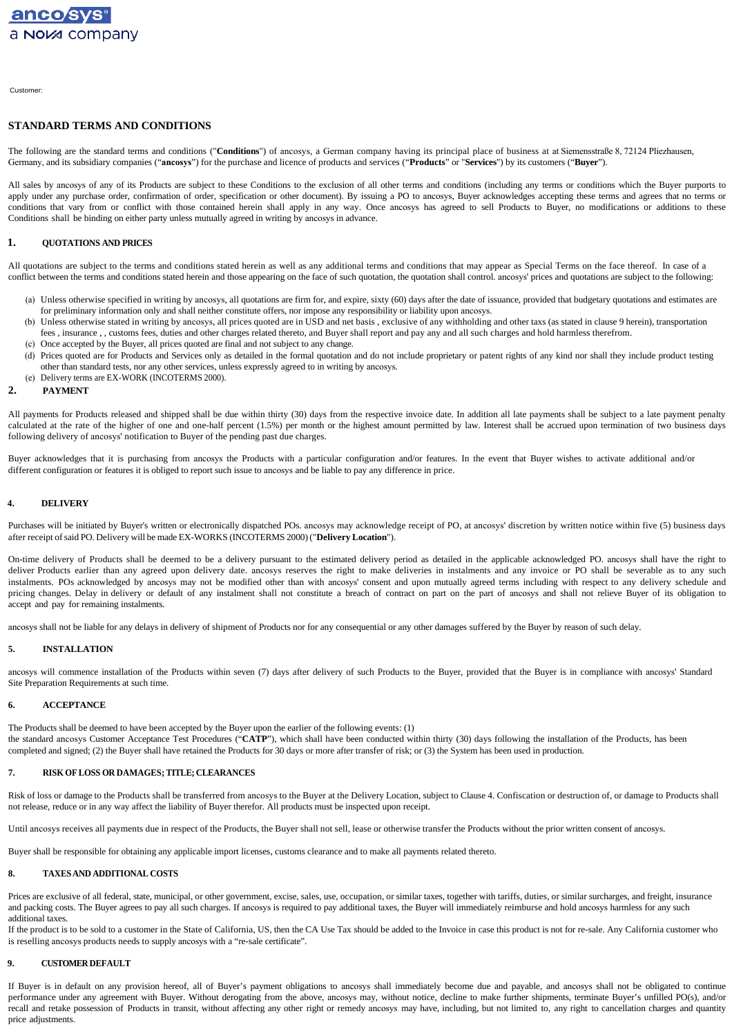Customer:

### **STANDARD TERMS AND CONDITIONS**

The following are the standard terms and conditions ("Conditions") of ancosys, a German company having its principal place of business at at Siemensstraße 8, 72124 Pliezhausen, Germany, and its subsidiary companies ("**ancosys**") for the purchase and licence of products and services ("**Products**" or "**Services**") by its customers ("**Buyer**").

All sales by ancosys of any of its Products are subject to these Conditions to the exclusion of all other terms and conditions (including any terms or conditions which the Buyer purports to apply under any purchase order, confirmation of order, specification or other document). By issuing a PO to ancosys, Buyer acknowledges accepting these terms and agrees that no terms or conditions that vary from or conflict with those contained herein shall apply in any way. Once ancosys has agreed to sell Products to Buyer, no modifications or additions to these Conditions shall be binding on either party unless mutually agreed in writing by ancosys in advance.

#### **1. QUOTATIONS AND PRICES**

All quotations are subject to the terms and conditions stated herein as well as any additional terms and conditions that may appear as Special Terms on the face thereof. In case of a conflict between the terms and conditions stated herein and those appearing on the face of such quotation, the quotation shall control. ancosys' prices and quotations are subject to the following:

- (a) Unless otherwise specified in writing by ancosys, all quotations are firm for, and expire, sixty (60) days after the date of issuance, provided that budgetary quotations and estimates are for preliminary information only and shall neither constitute offers, nor impose any responsibility or liability upon ancosys.
- (b) Unless otherwise stated in writing by ancosys, all prices quoted are in USD and net basis , exclusive of any withholding and other taxs (as stated in clause 9 herein), transportation fees , insurance , , customs fees, duties and other charges related thereto, and Buyer shall report and pay any and all such charges and hold harmless therefrom.
- (c) Once accepted by the Buyer, all prices quoted are final and not subject to any change.
- (d) Prices quoted are for Products and Services only as detailed in the formal quotation and do not include proprietary or patent rights of any kind nor shall they include product testing other than standard tests, nor any other services, unless expressly agreed to in writing by ancosys.
- (e) Delivery terms are EX-WORK (INCOTERMS 2000).

#### **2. PAYMENT**

All payments for Products released and shipped shall be due within thirty (30) days from the respective invoice date. In addition all late payments shall be subject to a late payment penalty calculated at the rate of the higher of one and one-half percent (1.5%) per month or the highest amount permitted by law. Interest shall be accrued upon termination of two business days following delivery of ancosys' notification to Buyer of the pending past due charges.

Buyer acknowledges that it is purchasing from ancosys the Products with a particular configuration and/or features. In the event that Buyer wishes to activate additional and/or different configuration or features it is obliged to report such issue to ancosys and be liable to pay any difference in price.

#### **4. DELIVERY**

Purchases will be initiated by Buyer's written or electronically dispatched POs. ancosys may acknowledge receipt of PO, at ancosys' discretion by written notice within five (5) business days after receipt ofsaid PO. Delivery will be made EX-WORKS (INCOTERMS 2000) ("**Delivery Location**").

On-time delivery of Products shall be deemed to be a delivery pursuant to the estimated delivery period as detailed in the applicable acknowledged PO. ancosys shall have the right to deliver Products earlier than any agreed upon delivery date. ancosys reserves the right to make deliveries in instalments and any invoice or PO shall be severable as to any such instalments. POs acknowledged by ancosys may not be modified other than with ancosys' consent and upon mutually agreed terms including with respect to any delivery schedule and pricing changes. Delay in delivery or default of any instalment shall not constitute a breach of contract on part on the part of ancosys and shall not relieve Buyer of its obligation to accept and pay for remaining instalments.

ancosys shall not be liable for any delays in delivery of shipment of Products nor for any consequential or any other damages suffered by the Buyer by reason of such delay.

#### **5. INSTALLATION**

ancosys will commence installation of the Products within seven (7) days after delivery of such Products to the Buyer, provided that the Buyer is in compliance with ancosys' Standard Site Preparation Requirements at such time.

#### **6. ACCEPTANCE**

The Products shall be deemed to have been accepted by the Buyer upon the earlier of the following events: (1) the standard ancosys Customer Acceptance Test Procedures ("CATP"), which shall have been conducted within thirty (30) days following the installation of the Products, has been completed and signed; (2) the Buyer shall have retained the Products for 30 days or more after transfer of risk; or (3) the System has been used in production.

#### **7. RISK OFLOSS OR DAMAGES; TITLE; CLEARANCES**

Risk of loss or damage to the Products shall be transferred from ancosys to the Buyer at the Delivery Location, subject to Clause 4. Confiscation or destruction of, or damage to Products shall not release, reduce or in any way affect the liability of Buyer therefor. All products must be inspected upon receipt.

Until ancosys receives all payments due in respect of the Products, the Buyer shall not sell, lease or otherwise transfer the Products without the prior written consent of ancosys.

Buyer shall be responsible for obtaining any applicable import licenses, customs clearance and to make all payments related thereto.

#### **8. TAXESAND ADDITIONAL COSTS**

Prices are exclusive of all federal, state, municipal, or other government, excise, sales, use, occupation, or similar taxes, together with tariffs, duties, or similar surcharges, and freight, insurance and packing costs. The Buyer agrees to pay all such charges. If ancosys is required to pay additional taxes, the Buyer will immediately reimburse and hold ancosys harmless for any such additional taxes.

If the product is to be sold to a customer in the State of California, US, then the CA Use Tax should be added to the Invoice in case this product is not for re-sale. Any California customer who is reselling ancosys products needs to supply ancosys with a "re-sale certificate".

#### **9. CUSTOMER DEFAULT**

If Buyer is in default on any provision hereof, all of Buyer's payment obligations to ancosys shall immediately become due and payable, and ancosys shall not be obligated to continue performance under any agreement with Buyer. Without derogating from the above, ancosys may, without notice, decline to make further shipments, terminate Buyer's unfilled PO(s), and/or recall and retake possession of Products in transit, without affecting any other right or remedy ancosys may have, including, but not limited to, any right to cancellation charges and quantity price adjustments.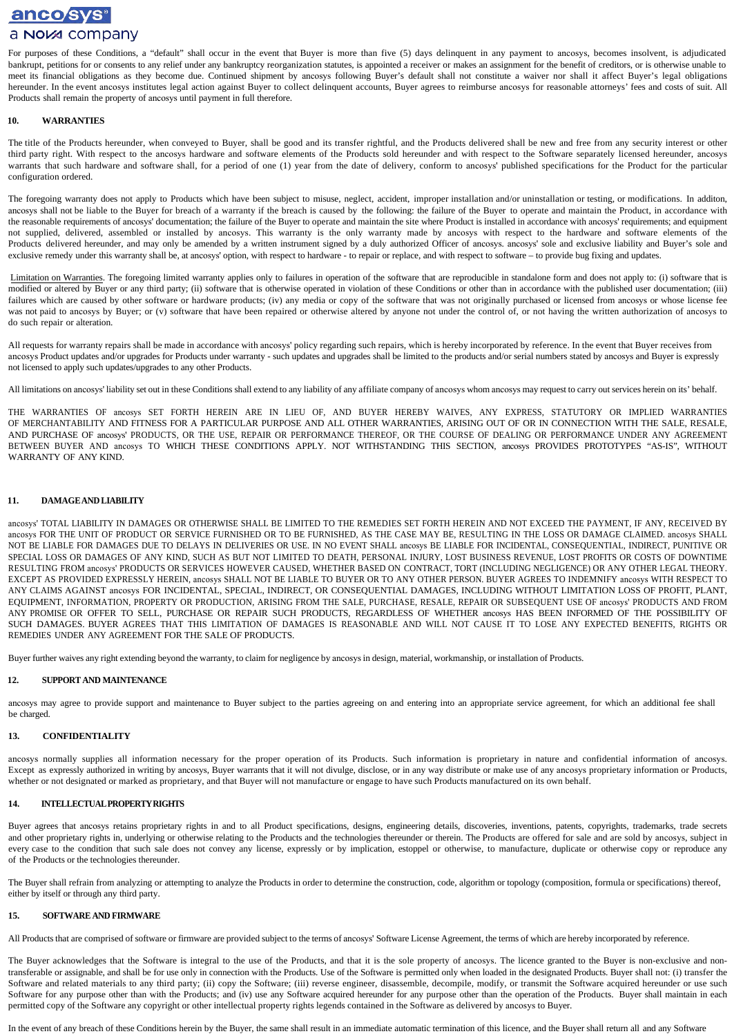# anco sys<sup>®</sup> a Nova company

For purposes of these Conditions, a "default" shall occur in the event that Buyer is more than five (5) days delinquent in any payment to ancosys, becomes insolvent, is adjudicated bankrupt, petitions for or consents to any relief under any bankruptcy reorganization statutes, is appointed a receiver or makes an assignment for the benefit of creditors, or is otherwise unable to meet its financial obligations as they become due. Continued shipment by ancosys following Buyer's default shall not constitute a waiver nor shall it affect Buyer's legal obligations hereunder. In the event ancosys institutes legal action against Buyer to collect delinquent accounts, Buyer agrees to reimburse ancosys for reasonable attorneys' fees and costs of suit. All Products shall remain the property of ancosys until payment in full therefore.

#### **10. WARRANTIES**

The title of the Products hereunder, when conveyed to Buyer, shall be good and its transfer rightful, and the Products delivered shall be new and free from any security interest or other third party right. With respect to the ancosys hardware and software elements of the Products sold hereunder and with respect to the Software separately licensed hereunder, ancosys warrants that such hardware and software shall, for a period of one (1) year from the date of delivery, conform to ancosys' published specifications for the Product for the particular configuration ordered.

The foregoing warranty does not apply to Products which have been subject to misuse, neglect, accident, improper installation and/or uninstallation or testing, or modifications. In additon, ancosys shall not be liable to the Buyer for breach of a warranty if the breach is caused by the following: the failure of the Buyer to operate and maintain the Product, in accordance with the reasonable requirements of ancosys' documentation; the failure of the Buyer to operate and maintain the site where Product is installed in accordance with ancosys' requirements; and equipment not supplied, delivered, assembled or installed by ancosys. This warranty is the only warranty made by ancosys with respect to the hardware and software elements of the Products delivered hereunder, and may only be amended by a written instrument signed by a duly authorized Officer of ancosys. ancosys' sole and exclusive liability and Buyer's sole and exclusive remedy under this warranty shall be, at ancosys' option, with respect to hardware - to repair or replace, and with respect to software – to provide bug fixing and updates.

Limitation on Warranties. The foregoing limited warranty applies only to failures in operation of the software that are reproducible in standalone form and does not apply to: (i) software that is modified or altered by Buyer or any third party; (ii) software that is otherwise operated in violation of these Conditions or other than in accordance with the published user documentation; (iii) failures which are caused by other software or hardware products; (iv) any media or copy of the software that was not originally purchased or licensed from ancosys or whose license fee was not paid to ancosys by Buyer; or (v) software that have been repaired or otherwise altered by anyone not under the control of, or not having the written authorization of ancosys to do such repair or alteration.

All requests for warranty repairs shall be made in accordance with ancosys' policy regarding such repairs, which is hereby incorporated by reference. In the event that Buyer receives from ancosys Product updates and/or upgrades for Products under warranty - such updates and upgrades shall be limited to the products and/or serial numbers stated by ancosys and Buyer is expressly not licensed to apply such updates/upgrades to any other Products.

All limitations on ancosys' liability set out in these Conditions shall extend to any liability of any affiliate company of ancosys whom ancosys may request to carry out services herein on its' behalf.

THE WARRANTIES OF ancosys SET FORTH HEREIN ARE IN LIEU OF, AND BUYER HEREBY WAIVES, ANY EXPRESS, STATUTORY OR IMPLIED WARRANTIES OF MERCHANTABILITY AND FITNESS FOR A PARTICULAR PURPOSE AND ALL OTHER WARRANTIES, ARISING OUT OF OR IN CONNECTION WITH THE SALE, RESALE, AND PURCHASE OF ancosys' PRODUCTS, OR THE USE, REPAIR OR PERFORMANCE THEREOF, OR THE COURSE OF DEALING OR PERFORMANCE UNDER ANY AGREEMENT BETWEEN BUYER AND ancosys TO WHICH THESE CONDITIONS APPLY. NOT WITHSTANDING THIS SECTION, ancosys PROVIDES PROTOTYPES "AS-IS", WITHOUT WARRANTY OF ANY KIND.

#### **11. DAMAGEANDLIABILITY**

ancosys' TOTAL LIABILITY IN DAMAGES OR OTHERWISE SHALL BE LIMITED TO THE REMEDIES SET FORTH HEREIN AND NOT EXCEED THE PAYMENT, IF ANY, RECEIVED BY ancosys FOR THE UNIT OF PRODUCT OR SERVICE FURNISHED OR TO BE FURNISHED, AS THE CASE MAY BE, RESULTING IN THE LOSS OR DAMAGE CLAIMED. ancosys SHALL NOT BE LIABLE FOR DAMAGES DUE TO DELAYS IN DELIVERIES OR USE. IN NO EVENT SHALL ancosys BE LIABLE FOR INCIDENTAL, CONSEQUENTIAL, INDIRECT, PUNITIVE OR SPECIAL LOSS OR DAMAGES OF ANY KIND, SUCH AS BUT NOT LIMITED TO DEATH, PERSONAL INJURY, LOST BUSINESS REVENUE, LOST PROFITS OR COSTS OF DOWNTIME RESULTING FROM ancosys' PRODUCTS OR SERVICES HOWEVER CAUSED, WHETHER BASED ON CONTRACT, TORT (INCLUDING NEGLIGENCE) OR ANY OTHER LEGAL THEORY. EXCEPT AS PROVIDED EXPRESSLY HEREIN, ancosys SHALL NOT BE LIABLE TO BUYER OR TO ANY OTHER PERSON. BUYER AGREES TO INDEMNIFY ancosys WITH RESPECT TO ANY CLAIMS AGAINST ancosys FOR INCIDENTAL, SPECIAL, INDIRECT, OR CONSEQUENTIAL DAMAGES, INCLUDING WITHOUT LIMITATION LOSS OF PROFIT, PLANT, EQUIPMENT, INFORMATION, PROPERTY OR PRODUCTION, ARISING FROM THE SALE, PURCHASE, RESALE, REPAIR OR SUBSEQUENT USE OF ancosys' PRODUCTS AND FROM ANY PROMISE OR OFFER TO SELL, PURCHASE OR REPAIR SUCH PRODUCTS, REGARDLESS OF WHETHER ancosys HAS BEEN INFORMED OF THE POSSIBILITY OF SUCH DAMAGES. BUYER AGREES THAT THIS LIMITATION OF DAMAGES IS REASONABLE AND WILL NOT CAUSE IT TO LOSE ANY EXPECTED BENEFITS, RIGHTS OR REMEDIES UNDER ANY AGREEMENT FOR THE SALE OF PRODUCTS.

Buyer further waives any right extending beyond the warranty, to claim for negligence by ancosysin design, material, workmanship, or installation of Products.

#### **12. SUPPORT AND MAINTENANCE**

ancosys may agree to provide support and maintenance to Buyer subject to the parties agreeing on and entering into an appropriate service agreement, for which an additional fee shall be charged.

#### **13. CONFIDENTIALITY**

ancosys normally supplies all information necessary for the proper operation of its Products. Such information is proprietary in nature and confidential information of ancosys. Except as expressly authorized in writing by ancosys, Buyer warrants that it will not divulge, disclose, or in any way distribute or make use of any ancosys proprietary information or Products, whether or not designated or marked as proprietary, and that Buyer will not manufacture or engage to have such Products manufactured on its own behalf.

#### **14. INTELLECTUALPROPERTYRIGHTS**

Buyer agrees that ancosys retains proprietary rights in and to all Product specifications, designs, engineering details, discoveries, inventions, patents, copyrights, trademarks, trade secrets and other proprietary rights in, underlying or otherwise relating to the Products and the technologies thereunder or therein. The Products are offered for sale and are sold by ancosys, subject in every case to the condition that such sale does not convey any license, expressly or by implication, estoppel or otherwise, to manufacture, duplicate or otherwise copy or reproduce any of the Products or the technologies thereunder.

The Buyer shall refrain from analyzing or attempting to analyze the Products in order to determine the construction, code, algorithm or topology (composition, formula or specifications) thereof, either by itself or through any third party.

#### **15. SOFTWARE AND FIRMWARE**

All Products that are comprised ofsoftware or firmware are provided subject to the terms of ancosys' Software License Agreement, the terms of which are hereby incorporated by reference.

The Buyer acknowledges that the Software is integral to the use of the Products, and that it is the sole property of ancosys. The licence granted to the Buyer is non-exclusive and nontransferable or assignable, and shall be for use only in connection with the Products. Use of the Software is permitted only when loaded in the designated Products. Buyer shall not: (i) transfer the Software and related materials to any third party; (ii) copy the Software; (iii) reverse engineer, disassemble, decompile, modify, or transmit the Software acquired hereunder or use such Software for any purpose other than with the Products; and (iv) use any Software acquired hereunder for any purpose other than the operation of the Products. Buyer shall maintain in each permitted copy of the Software any copyright or other intellectual property rights legends contained in the Software as delivered by ancosys to Buyer.

In the event of any breach of these Conditions herein by the Buyer, the same shall result in an immediate automatic termination of this licence, and the Buyer shall return all and any Software